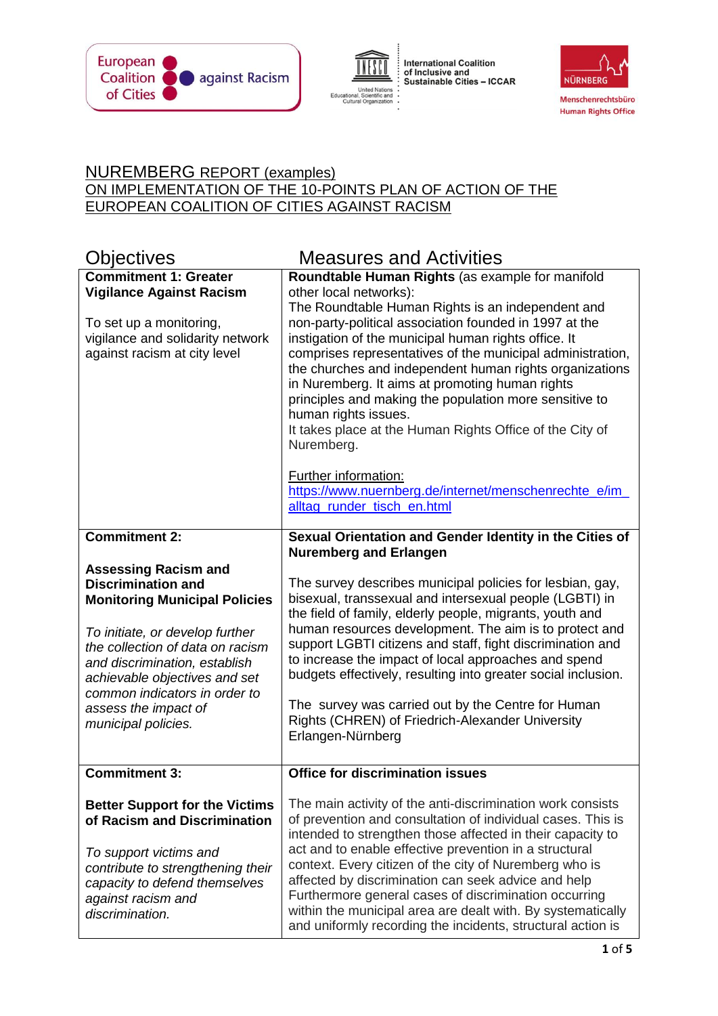





## NUREMBERG REPORT (examples) ON IMPLEMENTATION OF THE 10-POINTS PLAN OF ACTION OF THE EUROPEAN COALITION OF CITIES AGAINST RACISM

| Objectives                                                                                                                                                                                                                                                                                                                | <b>Measures and Activities</b>                                                                                                                                                                                                                                                                                                                                                                                                                                                                                                                                                                                                                                                                                    |
|---------------------------------------------------------------------------------------------------------------------------------------------------------------------------------------------------------------------------------------------------------------------------------------------------------------------------|-------------------------------------------------------------------------------------------------------------------------------------------------------------------------------------------------------------------------------------------------------------------------------------------------------------------------------------------------------------------------------------------------------------------------------------------------------------------------------------------------------------------------------------------------------------------------------------------------------------------------------------------------------------------------------------------------------------------|
| <b>Commitment 1: Greater</b><br><b>Vigilance Against Racism</b><br>To set up a monitoring,<br>vigilance and solidarity network<br>against racism at city level                                                                                                                                                            | Roundtable Human Rights (as example for manifold<br>other local networks):<br>The Roundtable Human Rights is an independent and<br>non-party-political association founded in 1997 at the<br>instigation of the municipal human rights office. It<br>comprises representatives of the municipal administration,<br>the churches and independent human rights organizations<br>in Nuremberg. It aims at promoting human rights<br>principles and making the population more sensitive to<br>human rights issues.<br>It takes place at the Human Rights Office of the City of<br>Nuremberg.<br><b>Further information:</b><br>https://www.nuernberg.de/internet/menschenrechte_e/im_<br>alltag_runder_tisch_en.html |
| <b>Commitment 2:</b>                                                                                                                                                                                                                                                                                                      | Sexual Orientation and Gender Identity in the Cities of                                                                                                                                                                                                                                                                                                                                                                                                                                                                                                                                                                                                                                                           |
|                                                                                                                                                                                                                                                                                                                           | <b>Nuremberg and Erlangen</b>                                                                                                                                                                                                                                                                                                                                                                                                                                                                                                                                                                                                                                                                                     |
| <b>Assessing Racism and</b><br><b>Discrimination and</b><br><b>Monitoring Municipal Policies</b><br>To initiate, or develop further<br>the collection of data on racism<br>and discrimination, establish<br>achievable objectives and set<br>common indicators in order to<br>assess the impact of<br>municipal policies. | The survey describes municipal policies for lesbian, gay,<br>bisexual, transsexual and intersexual people (LGBTI) in<br>the field of family, elderly people, migrants, youth and<br>human resources development. The aim is to protect and<br>support LGBTI citizens and staff, fight discrimination and<br>to increase the impact of local approaches and spend<br>budgets effectively, resulting into greater social inclusion.<br>The survey was carried out by the Centre for Human<br>Rights (CHREN) of Friedrich-Alexander University<br>Erlangen-Nürnberg                                                                                                                                                  |
| <b>Commitment 3:</b>                                                                                                                                                                                                                                                                                                      | <b>Office for discrimination issues</b>                                                                                                                                                                                                                                                                                                                                                                                                                                                                                                                                                                                                                                                                           |
| <b>Better Support for the Victims</b><br>of Racism and Discrimination<br>To support victims and<br>contribute to strengthening their<br>capacity to defend themselves<br>against racism and<br>discrimination.                                                                                                            | The main activity of the anti-discrimination work consists<br>of prevention and consultation of individual cases. This is<br>intended to strengthen those affected in their capacity to<br>act and to enable effective prevention in a structural<br>context. Every citizen of the city of Nuremberg who is<br>affected by discrimination can seek advice and help<br>Furthermore general cases of discrimination occurring<br>within the municipal area are dealt with. By systematically<br>and uniformly recording the incidents, structural action is                                                                                                                                                         |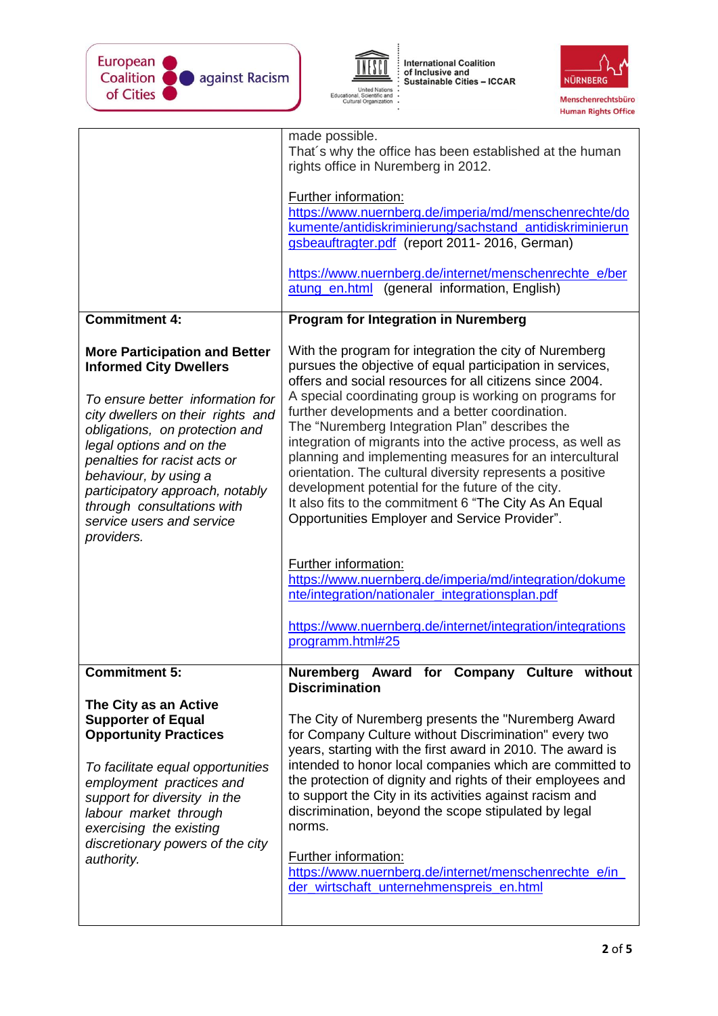



 $\ddot{\phantom{a}}$ 

International Coalition<br>of Inclusive and<br>Sustainable Cities – ICCAR



|                                                                                                                                                                                                                                                                                                                                                                                   | made possible.<br>That's why the office has been established at the human<br>rights office in Nuremberg in 2012.<br>Further information:<br>https://www.nuernberg.de/imperia/md/menschenrechte/do<br>kumente/antidiskriminierung/sachstand antidiskriminierun<br>gsbeauftragter.pdf (report 2011-2016, German)<br>https://www.nuernberg.de/internet/menschenrechte_e/ber<br>atung_en.html<br>(general information, English)                                                                                                                                                                                                                                                                            |
|-----------------------------------------------------------------------------------------------------------------------------------------------------------------------------------------------------------------------------------------------------------------------------------------------------------------------------------------------------------------------------------|--------------------------------------------------------------------------------------------------------------------------------------------------------------------------------------------------------------------------------------------------------------------------------------------------------------------------------------------------------------------------------------------------------------------------------------------------------------------------------------------------------------------------------------------------------------------------------------------------------------------------------------------------------------------------------------------------------|
| <b>Commitment 4:</b>                                                                                                                                                                                                                                                                                                                                                              | <b>Program for Integration in Nuremberg</b>                                                                                                                                                                                                                                                                                                                                                                                                                                                                                                                                                                                                                                                            |
| <b>More Participation and Better</b><br><b>Informed City Dwellers</b><br>To ensure better information for<br>city dwellers on their rights and<br>obligations, on protection and<br>legal options and on the<br>penalties for racist acts or<br>behaviour, by using a<br>participatory approach, notably<br>through consultations with<br>service users and service<br>providers. | With the program for integration the city of Nuremberg<br>pursues the objective of equal participation in services,<br>offers and social resources for all citizens since 2004.<br>A special coordinating group is working on programs for<br>further developments and a better coordination.<br>The "Nuremberg Integration Plan" describes the<br>integration of migrants into the active process, as well as<br>planning and implementing measures for an intercultural<br>orientation. The cultural diversity represents a positive<br>development potential for the future of the city.<br>It also fits to the commitment 6 "The City As An Equal<br>Opportunities Employer and Service Provider". |
|                                                                                                                                                                                                                                                                                                                                                                                   | Further information:<br>https://www.nuernberg.de/imperia/md/integration/dokume<br>nte/integration/nationaler_integrationsplan.pdf<br>https://www.nuernberg.de/internet/integration/integrations                                                                                                                                                                                                                                                                                                                                                                                                                                                                                                        |
|                                                                                                                                                                                                                                                                                                                                                                                   | programm.html#25                                                                                                                                                                                                                                                                                                                                                                                                                                                                                                                                                                                                                                                                                       |
| <b>Commitment 5:</b><br>The City as an Active<br><b>Supporter of Equal</b><br><b>Opportunity Practices</b>                                                                                                                                                                                                                                                                        | Nuremberg Award for Company Culture without<br><b>Discrimination</b><br>The City of Nuremberg presents the "Nuremberg Award<br>for Company Culture without Discrimination" every two                                                                                                                                                                                                                                                                                                                                                                                                                                                                                                                   |
| To facilitate equal opportunities<br>employment practices and<br>support for diversity in the<br>labour market through<br>exercising the existing<br>discretionary powers of the city<br>authority.                                                                                                                                                                               | years, starting with the first award in 2010. The award is<br>intended to honor local companies which are committed to<br>the protection of dignity and rights of their employees and<br>to support the City in its activities against racism and<br>discrimination, beyond the scope stipulated by legal<br>norms.<br><b>Further information:</b><br>https://www.nuernberg.de/internet/menschenrechte_e/in_<br>der wirtschaft unternehmenspreis en.html                                                                                                                                                                                                                                               |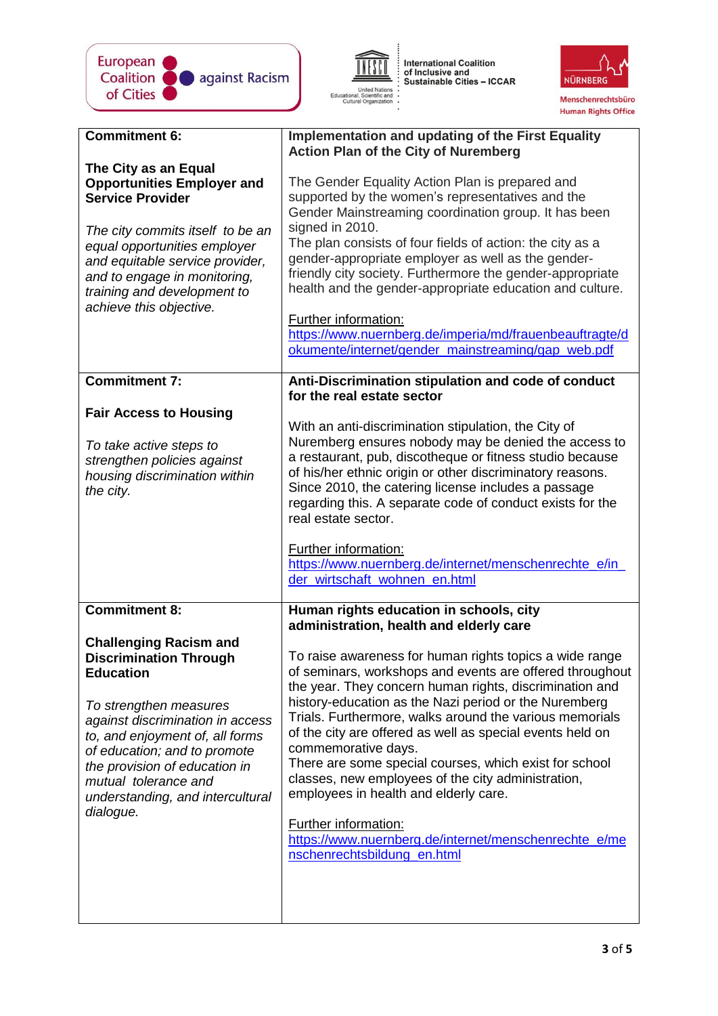

International Coalition<br>of Inclusive and<br>Sustainable Cities – ICCAR United Nations<br>Educational, Scientific and<br>Cultural Organization  $\ddot{\phantom{a}}$ 



| <b>Commitment 6:</b>                                                                                                                                                                                                                                                                                                          | <b>Implementation and updating of the First Equality</b><br><b>Action Plan of the City of Nuremberg</b>                                                                                                                                                                                                                                                                                                                                                                                                                                                                                                                                                                |
|-------------------------------------------------------------------------------------------------------------------------------------------------------------------------------------------------------------------------------------------------------------------------------------------------------------------------------|------------------------------------------------------------------------------------------------------------------------------------------------------------------------------------------------------------------------------------------------------------------------------------------------------------------------------------------------------------------------------------------------------------------------------------------------------------------------------------------------------------------------------------------------------------------------------------------------------------------------------------------------------------------------|
| The City as an Equal<br><b>Opportunities Employer and</b><br><b>Service Provider</b><br>The city commits itself to be an<br>equal opportunities employer<br>and equitable service provider,<br>and to engage in monitoring,<br>training and development to<br>achieve this objective.                                         | The Gender Equality Action Plan is prepared and<br>supported by the women's representatives and the<br>Gender Mainstreaming coordination group. It has been<br>signed in 2010.<br>The plan consists of four fields of action: the city as a<br>gender-appropriate employer as well as the gender-<br>friendly city society. Furthermore the gender-appropriate<br>health and the gender-appropriate education and culture.<br><b>Further information:</b><br>https://www.nuernberg.de/imperia/md/frauenbeauftragte/d<br>okumente/internet/gender_mainstreaming/gap_web.pdf                                                                                             |
| <b>Commitment 7:</b>                                                                                                                                                                                                                                                                                                          | Anti-Discrimination stipulation and code of conduct<br>for the real estate sector                                                                                                                                                                                                                                                                                                                                                                                                                                                                                                                                                                                      |
| <b>Fair Access to Housing</b><br>To take active steps to<br>strengthen policies against<br>housing discrimination within<br>the city.                                                                                                                                                                                         | With an anti-discrimination stipulation, the City of<br>Nuremberg ensures nobody may be denied the access to<br>a restaurant, pub, discotheque or fitness studio because<br>of his/her ethnic origin or other discriminatory reasons.<br>Since 2010, the catering license includes a passage<br>regarding this. A separate code of conduct exists for the<br>real estate sector.<br>Further information:<br>https://www.nuernberg.de/internet/menschenrechte_e/in_<br>der_wirtschaft_wohnen_en.html                                                                                                                                                                    |
| <b>Commitment 8:</b>                                                                                                                                                                                                                                                                                                          | Human rights education in schools, city<br>administration, health and elderly care                                                                                                                                                                                                                                                                                                                                                                                                                                                                                                                                                                                     |
| <b>Challenging Racism and</b><br><b>Discrimination Through</b><br><b>Education</b><br>To strengthen measures<br>against discrimination in access<br>to, and enjoyment of, all forms<br>of education; and to promote<br>the provision of education in<br>mutual tolerance and<br>understanding, and intercultural<br>dialogue. | To raise awareness for human rights topics a wide range<br>of seminars, workshops and events are offered throughout<br>the year. They concern human rights, discrimination and<br>history-education as the Nazi period or the Nuremberg<br>Trials. Furthermore, walks around the various memorials<br>of the city are offered as well as special events held on<br>commemorative days.<br>There are some special courses, which exist for school<br>classes, new employees of the city administration,<br>employees in health and elderly care.<br><b>Further information:</b><br>https://www.nuernberg.de/internet/menschenrechte_e/me<br>nschenrechtsbildung_en.html |
|                                                                                                                                                                                                                                                                                                                               |                                                                                                                                                                                                                                                                                                                                                                                                                                                                                                                                                                                                                                                                        |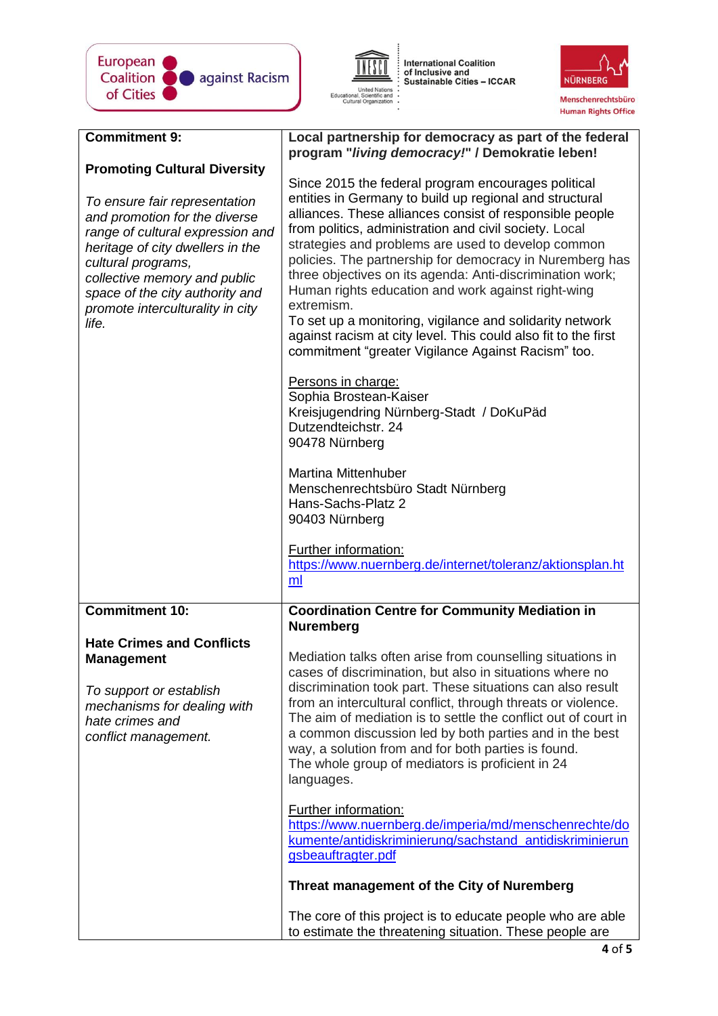



International Coalition<br>of Inclusive and<br>Sustainable Cities – ICCAR



| <b>Commitment 9:</b>                                                                                                                                                                                                                                                         | Local partnership for democracy as part of the federal<br>program "living democracy!" / Demokratie leben!                                                                                                                                                                                                                                                                                                                                                                                                                                                                                                                                                                   |
|------------------------------------------------------------------------------------------------------------------------------------------------------------------------------------------------------------------------------------------------------------------------------|-----------------------------------------------------------------------------------------------------------------------------------------------------------------------------------------------------------------------------------------------------------------------------------------------------------------------------------------------------------------------------------------------------------------------------------------------------------------------------------------------------------------------------------------------------------------------------------------------------------------------------------------------------------------------------|
| <b>Promoting Cultural Diversity</b>                                                                                                                                                                                                                                          |                                                                                                                                                                                                                                                                                                                                                                                                                                                                                                                                                                                                                                                                             |
| To ensure fair representation<br>and promotion for the diverse<br>range of cultural expression and<br>heritage of city dwellers in the<br>cultural programs,<br>collective memory and public<br>space of the city authority and<br>promote interculturality in city<br>life. | Since 2015 the federal program encourages political<br>entities in Germany to build up regional and structural<br>alliances. These alliances consist of responsible people<br>from politics, administration and civil society. Local<br>strategies and problems are used to develop common<br>policies. The partnership for democracy in Nuremberg has<br>three objectives on its agenda: Anti-discrimination work;<br>Human rights education and work against right-wing<br>extremism.<br>To set up a monitoring, vigilance and solidarity network<br>against racism at city level. This could also fit to the first<br>commitment "greater Vigilance Against Racism" too. |
|                                                                                                                                                                                                                                                                              | Persons in charge:<br>Sophia Brostean-Kaiser<br>Kreisjugendring Nürnberg-Stadt / DoKuPäd<br>Dutzendteichstr. 24<br>90478 Nürnberg                                                                                                                                                                                                                                                                                                                                                                                                                                                                                                                                           |
|                                                                                                                                                                                                                                                                              | <b>Martina Mittenhuber</b><br>Menschenrechtsbüro Stadt Nürnberg<br>Hans-Sachs-Platz 2<br>90403 Nürnberg                                                                                                                                                                                                                                                                                                                                                                                                                                                                                                                                                                     |
|                                                                                                                                                                                                                                                                              | <b>Further information:</b><br>https://www.nuernberg.de/internet/toleranz/aktionsplan.ht<br>ml                                                                                                                                                                                                                                                                                                                                                                                                                                                                                                                                                                              |
| <b>Commitment 10:</b>                                                                                                                                                                                                                                                        | <b>Coordination Centre for Community Mediation in</b><br><b>Nuremberg</b>                                                                                                                                                                                                                                                                                                                                                                                                                                                                                                                                                                                                   |
| <b>Hate Crimes and Conflicts</b><br><b>Management</b><br>To support or establish<br>mechanisms for dealing with<br>hate crimes and<br>conflict management.                                                                                                                   | Mediation talks often arise from counselling situations in<br>cases of discrimination, but also in situations where no<br>discrimination took part. These situations can also result<br>from an intercultural conflict, through threats or violence.<br>The aim of mediation is to settle the conflict out of court in<br>a common discussion led by both parties and in the best<br>way, a solution from and for both parties is found.<br>The whole group of mediators is proficient in 24<br>languages.                                                                                                                                                                  |
|                                                                                                                                                                                                                                                                              | <b>Further information:</b><br>https://www.nuernberg.de/imperia/md/menschenrechte/do<br>kumente/antidiskriminierung/sachstand antidiskriminierun<br>gsbeauftragter.pdf                                                                                                                                                                                                                                                                                                                                                                                                                                                                                                      |
|                                                                                                                                                                                                                                                                              | Threat management of the City of Nuremberg                                                                                                                                                                                                                                                                                                                                                                                                                                                                                                                                                                                                                                  |
|                                                                                                                                                                                                                                                                              | The core of this project is to educate people who are able<br>to estimate the threatening situation. These people are                                                                                                                                                                                                                                                                                                                                                                                                                                                                                                                                                       |